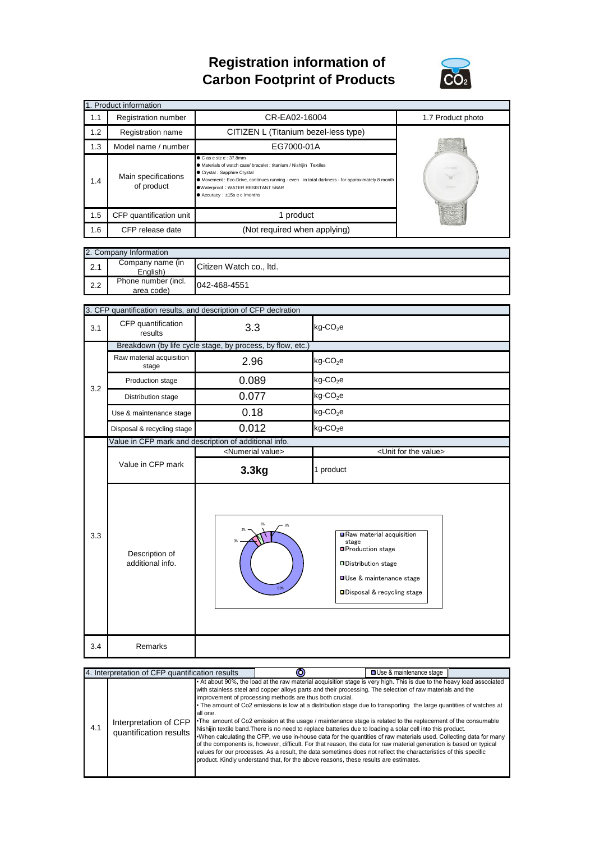## **Registration information of Carbon Footprint of Products**



| 1. Product information |                                   |                                                                                                                                                                                                                                                                                                                         |                                    |  |  |  |  |
|------------------------|-----------------------------------|-------------------------------------------------------------------------------------------------------------------------------------------------------------------------------------------------------------------------------------------------------------------------------------------------------------------------|------------------------------------|--|--|--|--|
| 1.1                    | Registration number               | CR-EA02-16004                                                                                                                                                                                                                                                                                                           | 1.7 Product photo                  |  |  |  |  |
| 1.2                    | <b>Registration name</b>          | CITIZEN L (Titanium bezel-less type)                                                                                                                                                                                                                                                                                    |                                    |  |  |  |  |
| 1.3                    | Model name / number               | EG7000-01A                                                                                                                                                                                                                                                                                                              |                                    |  |  |  |  |
| 1.4                    | Main specifications<br>of product | $\bullet$ C as e siz e : 37.8mm<br>A Materials of watch case/ bracelet : titanium / Nishijin Textiles<br>Crystal : Sapphire Crystal<br>• Movement : Eco-Drive, continues running - even in total darkness - for approximately 8 month<br>Waterproof: WATER RESISTANT 5BAR<br>$\bullet$ Accuracy : $\pm 15s$ e c /months | <b>CITIZON</b><br><b>EDIT CONT</b> |  |  |  |  |
| 1.5                    | CFP quantification unit           | 1 product                                                                                                                                                                                                                                                                                                               |                                    |  |  |  |  |
| 1.6                    | CFP release date                  | (Not required when applying)                                                                                                                                                                                                                                                                                            |                                    |  |  |  |  |

| 2. Company Information |                                   |                         |  |  |
|------------------------|-----------------------------------|-------------------------|--|--|
| 2.1                    | Company name (in<br>English)      | Citizen Watch co., Itd. |  |  |
| 2.2                    | Phone number (incl.<br>area code) | 042-468-4551            |  |  |

|     | 3. CFP quantification results, and description of CFP declration |                                                       |                                                                                             |  |  |
|-----|------------------------------------------------------------------|-------------------------------------------------------|---------------------------------------------------------------------------------------------|--|--|
| 3.1 | CFP quantification<br>results                                    | 3.3                                                   | $kg$ -CO <sub>2</sub> e                                                                     |  |  |
|     | Breakdown (by life cycle stage, by process, by flow, etc.)       |                                                       |                                                                                             |  |  |
| 3.2 | Raw material acquisition<br>stage                                | 2.96                                                  | kg-CO <sub>2</sub> e                                                                        |  |  |
|     | Production stage                                                 | 0.089                                                 | kg-CO <sub>2</sub> e                                                                        |  |  |
|     | Distribution stage                                               | 0.077                                                 | $kg$ -CO <sub>2</sub> e                                                                     |  |  |
|     | Use & maintenance stage                                          | 0.18                                                  | $kg$ -CO <sub>2</sub> e                                                                     |  |  |
|     | Disposal & recycling stage                                       | 0.012                                                 | $kg$ -CO <sub>2</sub> e                                                                     |  |  |
|     |                                                                  | Value in CFP mark and description of additional info. |                                                                                             |  |  |
|     |                                                                  | <numerial value=""></numerial>                        | <unit for="" the="" value=""></unit>                                                        |  |  |
|     | Value in CFP mark                                                | 3.3 <sub>kg</sub>                                     | 1 product                                                                                   |  |  |
| 3.3 | Description of<br>additional info.                               | 6%<br>0 <sup>6</sup><br>2%                            | Raw material acquisition<br>stage<br><b>□Production stage</b><br><b>□Distribution stage</b> |  |  |
|     |                                                                  | 89%                                                   | <b>OUse &amp; maintenance stage</b><br>□ Disposal & recycling stage                         |  |  |

|     | 4. Interpretation of CFP quantification results |          |                                                                                                                                                                                                                                                                                                                                                                                                                                                                                                                                                                                                                                                                                                                                                                                                                                                                                                                                                                                                                                                                                                              | □ Use & maintenance stage |  |
|-----|-------------------------------------------------|----------|--------------------------------------------------------------------------------------------------------------------------------------------------------------------------------------------------------------------------------------------------------------------------------------------------------------------------------------------------------------------------------------------------------------------------------------------------------------------------------------------------------------------------------------------------------------------------------------------------------------------------------------------------------------------------------------------------------------------------------------------------------------------------------------------------------------------------------------------------------------------------------------------------------------------------------------------------------------------------------------------------------------------------------------------------------------------------------------------------------------|---------------------------|--|
| 4.1 | Interpretation of CFP<br>quantification results | all one. | . At about 90%, the load at the raw material acquisition stage is very high. This is due to the heavy load associated<br>with stainless steel and copper alloys parts and their processing. The selection of raw materials and the<br>improvement of processing methods are thus both crucial.<br>• The amount of Co2 emissions is low at a distribution stage due to transporting the large quantities of watches at<br>•The amount of Co2 emission at the usage / maintenance stage is related to the replacement of the consumable<br>Nishijin textile band. There is no need to replace batteries due to loading a solar cell into this product.<br>•When calculating the CFP, we use in-house data for the quantities of raw materials used. Collecting data for many<br>of the components is, however, difficult. For that reason, the data for raw material generation is based on typical<br>values for our processes. As a result, the data sometimes does not reflect the characteristics of this specific<br>product. Kindly understand that, for the above reasons, these results are estimates. |                           |  |